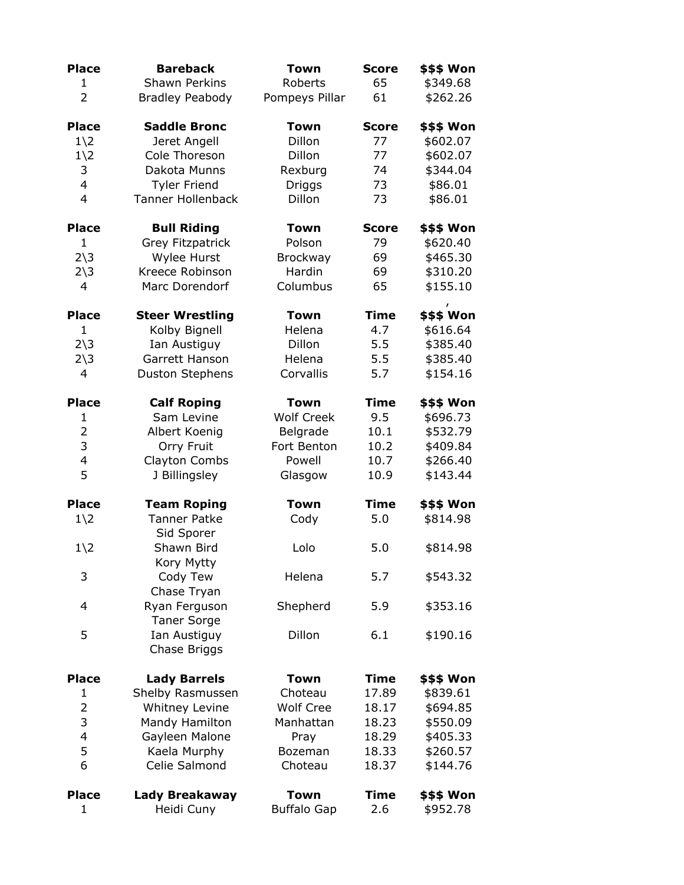| <b>Place</b>            | <b>Bareback</b>          | <b>Town</b>        | <b>Score</b> | <b>\$\$\$ Won</b>              |
|-------------------------|--------------------------|--------------------|--------------|--------------------------------|
| $\mathbf{1}$            | <b>Shawn Perkins</b>     | Roberts            | 65           | \$349.68                       |
| 2                       | <b>Bradley Peabody</b>   | Pompeys Pillar     | 61           | \$262.26                       |
| <b>Place</b>            | <b>Saddle Bronc</b>      | <b>Town</b>        | <b>Score</b> | <b>\$\$\$ Won</b>              |
| $1\angle 2$             | Jeret Angell             | Dillon             | 77           | \$602.07                       |
| $1\angle 2$             | Cole Thoreson            | Dillon             | 77           | \$602.07                       |
| 3                       | Dakota Munns             | Rexburg            | 74           | \$344.04                       |
| 4                       | <b>Tyler Friend</b>      | Driggs             | 73           | \$86.01                        |
| 4                       | <b>Tanner Hollenback</b> | Dillon             | 73           | \$86.01                        |
| <b>Place</b>            | <b>Bull Riding</b>       | <b>Town</b>        | <b>Score</b> | \$\$\$ Won                     |
| 1                       | Grey Fitzpatrick         | Polson             | 79           | \$620.40                       |
| $2\overline{\smash)3}$  | Wylee Hurst              | <b>Brockway</b>    | 69           | \$465.30                       |
| $2\overline{\smash)3}$  | Kreece Robinson          | Hardin             | 69           | \$310.20                       |
| 4                       | Marc Dorendorf           | Columbus           | 65           | \$155.10                       |
| <b>Place</b>            | <b>Steer Wrestling</b>   | <b>Town</b>        | <b>Time</b>  | $\pmb{I}$<br><b>\$\$\$ Won</b> |
| 1                       | Kolby Bignell            | Helena             | 4.7          | \$616.64                       |
| $2\overline{\smash)3}$  | Ian Austiguy             | Dillon             | 5.5          | \$385.40                       |
| $2\overline{\smash)3}$  | Garrett Hanson           | Helena             | 5.5          | \$385.40                       |
| 4                       | <b>Duston Stephens</b>   | Corvallis          | 5.7          | \$154.16                       |
| <b>Place</b>            | <b>Calf Roping</b>       | <b>Town</b>        | <b>Time</b>  | \$\$\$ Won                     |
| $\mathbf{1}$            | Sam Levine               | <b>Wolf Creek</b>  | 9.5          | \$696.73                       |
| $\overline{2}$          | Albert Koenig            | Belgrade           | 10.1         | \$532.79                       |
| 3                       | Orry Fruit               | Fort Benton        | 10.2         | \$409.84                       |
| 4                       | Clayton Combs            | Powell             | 10.7         | \$266.40                       |
| 5                       | J Billingsley            | Glasgow            | 10.9         | \$143.44                       |
| <b>Place</b>            | <b>Team Roping</b>       | Town               | <b>Time</b>  | \$\$\$ Won                     |
| $1\angle 2$             | <b>Tanner Patke</b>      | Cody               | 5.0          | \$814.98                       |
|                         | Sid Sporer               |                    |              |                                |
| $1\angle 2$             | Shawn Bird               | Lolo               | 5.0          | \$814.98                       |
|                         | Kory Mytty               |                    |              |                                |
| 3                       | Cody Tew                 | Helena             | 5.7          | \$543.32                       |
|                         | Chase Tryan              |                    |              |                                |
| 4                       | Ryan Ferguson            | Shepherd           | 5.9          | \$353.16                       |
|                         | <b>Taner Sorge</b>       |                    |              |                                |
| 5                       | Ian Austiguy             | Dillon             | 6.1          | \$190.16                       |
|                         | Chase Briggs             |                    |              |                                |
| <b>Place</b>            | <b>Lady Barrels</b>      | <b>Town</b>        | <b>Time</b>  | \$\$\$ Won                     |
| 1                       | Shelby Rasmussen         | Choteau            | 17.89        | \$839.61                       |
| $\overline{2}$          | Whitney Levine           | <b>Wolf Cree</b>   | 18.17        | \$694.85                       |
| 3                       | Mandy Hamilton           | Manhattan          | 18.23        | \$550.09                       |
| $\overline{\mathbf{4}}$ | Gayleen Malone           | Pray               | 18.29        | \$405.33                       |
| 5                       | Kaela Murphy             | Bozeman            | 18.33        | \$260.57                       |
| 6                       | Celie Salmond            | Choteau            | 18.37        | \$144.76                       |
| <b>Place</b>            | Lady Breakaway           | <b>Town</b>        | <b>Time</b>  | \$\$\$ Won                     |
| 1                       | Heidi Cuny               | <b>Buffalo Gap</b> | 2.6          | \$952.78                       |